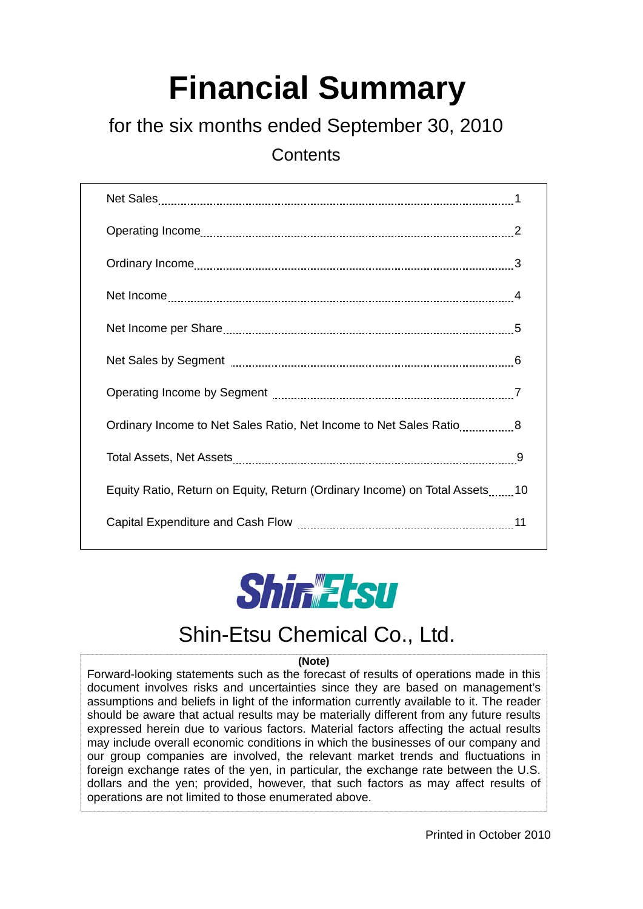# **Financial Summary**

## for the six months ended September 30, 2010

**Contents** 

| Ordinary Income to Net Sales Ratio, Net Income to Net Sales Ratio8         |  |
|----------------------------------------------------------------------------|--|
|                                                                            |  |
| Equity Ratio, Return on Equity, Return (Ordinary Income) on Total Assets10 |  |
|                                                                            |  |



## Shin-Etsu Chemical Co., Ltd.

#### **(Note)**

Forward-looking statements such as the forecast of results of operations made in this document involves risks and uncertainties since they are based on management's assumptions and beliefs in light of the information currently available to it. The reader should be aware that actual results may be materially different from any future results expressed herein due to various factors. Material factors affecting the actual results may include overall economic conditions in which the businesses of our company and our group companies are involved, the relevant market trends and fluctuations in foreign exchange rates of the yen, in particular, the exchange rate between the U.S. dollars and the yen; provided, however, that such factors as may affect results of operations are not limited to those enumerated above.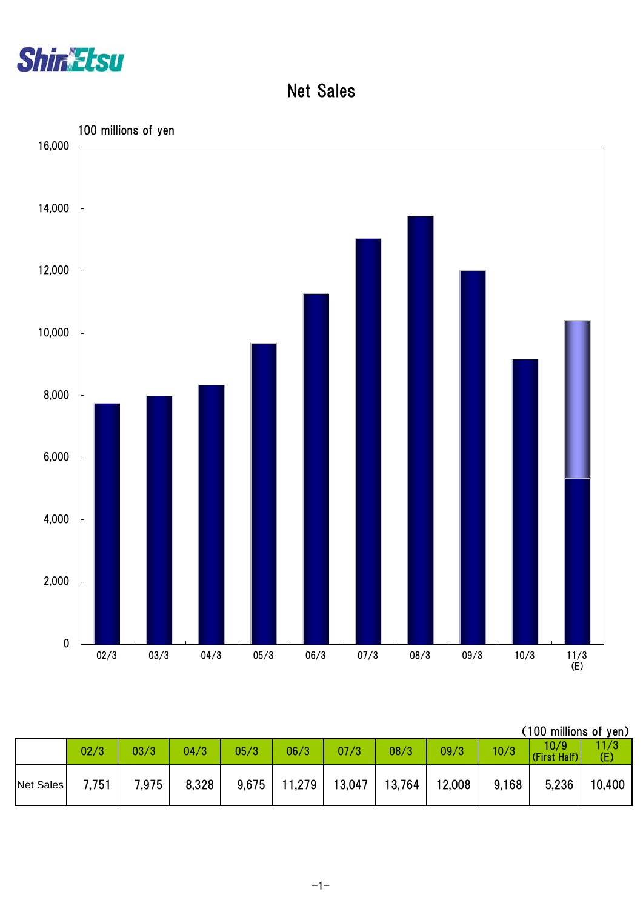

Net Sales



|                  |       |       |       |       |        |        |        |        |       | (100 millions of yen) |            |
|------------------|-------|-------|-------|-------|--------|--------|--------|--------|-------|-----------------------|------------|
|                  | 02/3  | 03/3  | 04/3  | 05/3  | 06/3   | 07/3   | 08/3   | 09/3   | 10/3  | 10/9<br>(First Half)  | 1/3<br>(E) |
| <b>Net Sales</b> | 7,751 | 7,975 | 8,328 | 9,675 | 11,279 | 13,047 | 13,764 | 12,008 | 9,168 | 5,236                 | 10,400     |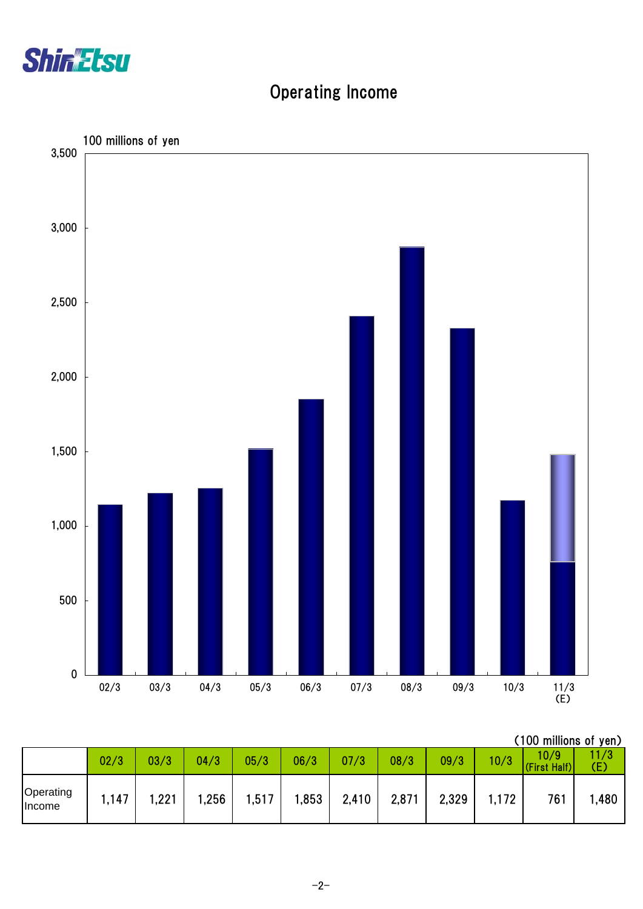

## Operating Income



|                     |      |      |      |       |      |       |       |       |      | (100 millions of yen) |             |
|---------------------|------|------|------|-------|------|-------|-------|-------|------|-----------------------|-------------|
|                     | 02/3 | 03/3 | 04/3 | 05/3  | 06/3 | 07/3  | 08/3  | 09/3  | 10/3 | 10/9<br>(First Half)  | 11/3<br>(E) |
| Operating<br>Income | ,147 | ,221 | ,256 | 1,517 | ,853 | 2,410 | 2,871 | 2,329 | ,172 | 761                   | ,480        |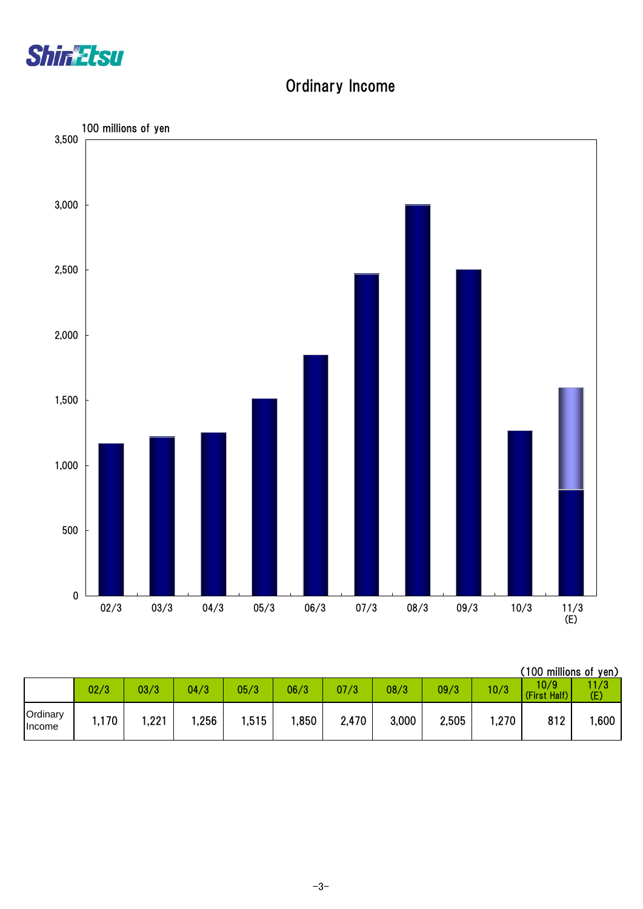

#### Ordinary Income



|                    |       |      |      |       |       |       |       |       |       | (100 millions of yen) |             |
|--------------------|-------|------|------|-------|-------|-------|-------|-------|-------|-----------------------|-------------|
|                    | 02/3  | 03/3 | 04/3 | 05/3  | 06/3  | 07/3  | 08/3  | 09/3  | 10/3  | 10/9<br>(First Half)  | 11/3<br>(E) |
| Ordinary<br>Income | .170، | ,221 | ,256 | 1,515 | 1,850 | 2,470 | 3,000 | 2,505 | .270, | 812                   | ,600        |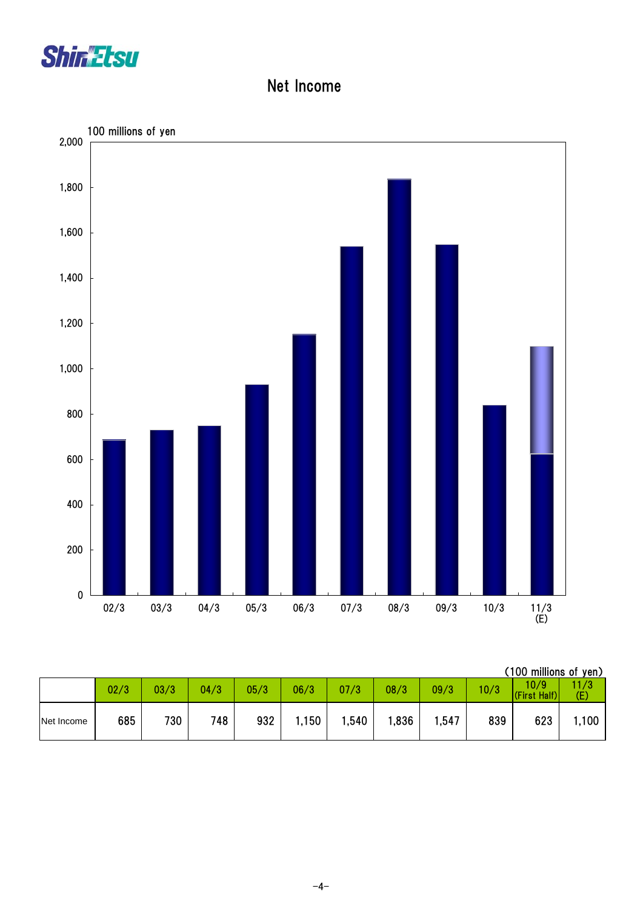

#### Net Income



|            |      |      |      |      |      |       |      |       |      | (100 millions of yen) |             |
|------------|------|------|------|------|------|-------|------|-------|------|-----------------------|-------------|
|            | 02/3 | 03/3 | 04/3 | 05/3 | 06/3 | 07/3  | 08/3 | 09/3  | 10/3 | 10/9<br>(First Half)  | 11/3<br>(E) |
| Net Income | 685  | 730  | 748  | 932  | .150 | 1,540 | ,836 | 547,، | 839  | 623                   | 1,100       |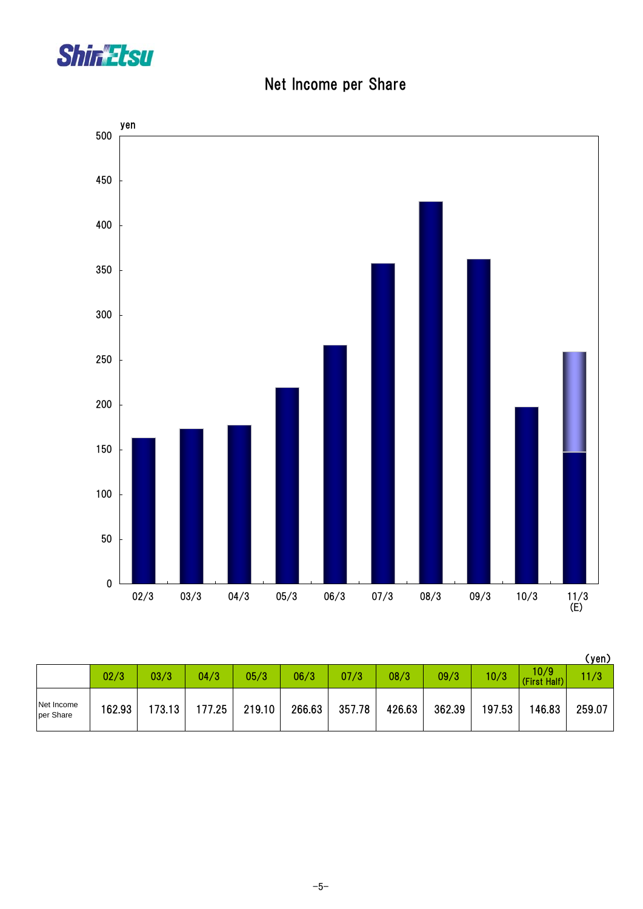

Net Income per Share



|                         |        |        |        |        |        |        |        |        |        |                      | (yen)  |
|-------------------------|--------|--------|--------|--------|--------|--------|--------|--------|--------|----------------------|--------|
|                         | 02/3   | 03/3   | 04/3   | 05/3   | 06/3   | 07/3   | 08/3   | 09/3   | 10/3   | 10/9<br>(First Half) | 11/3   |
| Net Income<br>per Share | 162.93 | 173.13 | 177.25 | 219.10 | 266.63 | 357.78 | 426.63 | 362.39 | 197.53 | 146.83               | 259.07 |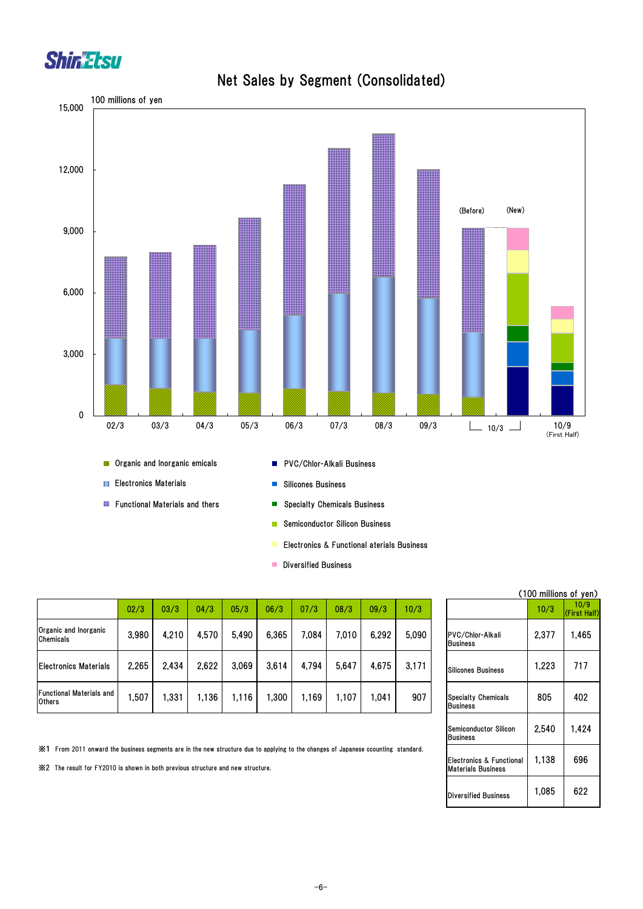



**Diversified Business** 

|                                           |       |       |       |       |       |       |       |       |       |                                               | <b>ATOO MINING OF JO</b> |                  |
|-------------------------------------------|-------|-------|-------|-------|-------|-------|-------|-------|-------|-----------------------------------------------|--------------------------|------------------|
|                                           | 02/3  | 03/3  | 04/3  | 05/3  | 06/3  | 07/3  | 08/3  | 09/3  | 10/3  |                                               | 10/3                     | 10/9<br>(First H |
| Organic and Inorganic<br><b>Chemicals</b> | 3,980 | 4,210 | 4,570 | 5,490 | 6,365 | 7.084 | 7.010 | 6.292 | 5.090 | PVC/Chlor-Alkali<br><b>Business</b>           | 2,377                    | .465             |
| <b>Electronics Materials</b>              | 2.265 | 2,434 | 2.622 | 3,069 | 3,614 | 4,794 | 5,647 | 4,675 | 3,171 | Silicones Business                            | 1,223                    | 717              |
| Functional Materials and<br><b>Others</b> | ,507  | .331  | 1.136 | 1,116 | ,300  | 1.169 | 1.107 | ,041  | 907   | <b>Specialty Chemicals</b><br><b>Business</b> | 805                      | 402              |

※1 From 2011 onward the business segments are in the new structure due to applying to the changes of Japanese ccounting standard.

※2 The result for FY2010 is shown in both previous structure and new structure.

#### (100 millions of yen) (First Half) 2,377 1,465 Business 805 402 Semiconductor Silicon Business 2,540 1,424 Electronics & Functional Materials Business 1,138 696 Diversified Business | 1,085 | 622

#### Net Sales by Segment (Consolidated)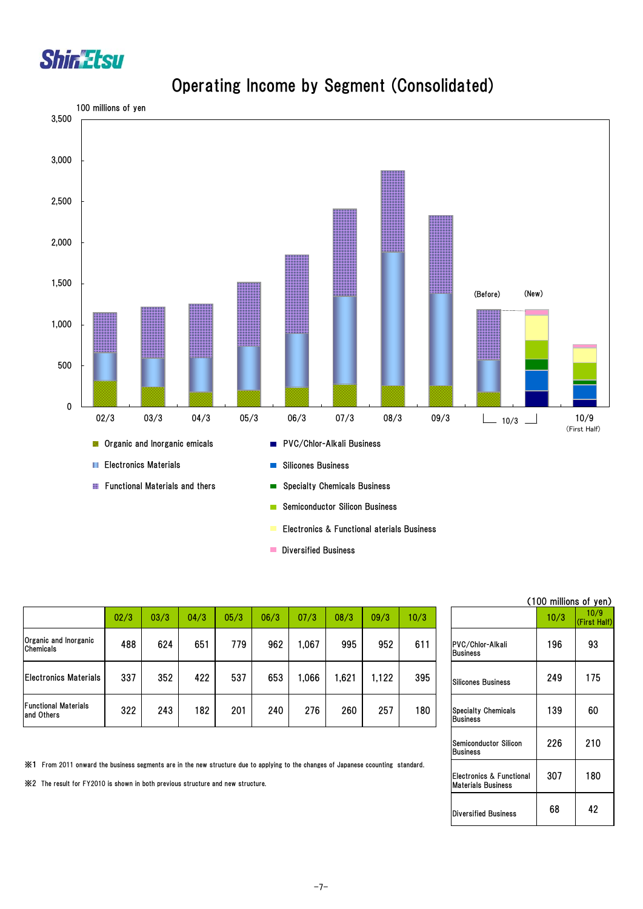



#### Operating Income by Segment (Consolidated)

**Diversified Business** 

|                                           |      |      |      |      |      |      |      |       |      |                                               | <b>LIUU MIIIIUNS OL YE</b> |                  |
|-------------------------------------------|------|------|------|------|------|------|------|-------|------|-----------------------------------------------|----------------------------|------------------|
|                                           | 02/3 | 03/3 | 04/3 | 05/3 | 06/3 | 07/3 | 08/3 | 09/3  | 10/3 |                                               | 10/3                       | 10/9<br>(First H |
| Organic and Inorganic<br><b>Chemicals</b> | 488  | 624  | 651  | 779  | 962  | ,067 | 995  | 952   | 611  | PVC/Chlor-Alkali<br><b>Business</b>           | 196                        | 93               |
| <b>Electronics Materials</b>              | 337  | 352  | 422  | 537  | 653  | ,066 | ,621 | 1,122 | 395  | Silicones Business                            | 249                        | 175              |
| <b>Functional Materials</b><br>and Others | 322  | 243  | 182  | 201  | 240  | 276  | 260  | 257   | 180  | <b>Specialty Chemicals</b><br><b>Business</b> | 139                        | 60               |

| (TUU MIIIIIONS OF YEN) |                      |
|------------------------|----------------------|
| 10/3                   | 10/9<br>(First Half) |
|                        |                      |

226 210

307 180

Business

Semiconductor Silicon

Electronics & Functional Materials Business

Diversified Business | 68 | 42

 $(100 \text{ million})$ 

※1 From 2011 onward the business segments are in the new structure due to applying to the changes of Japanese ccounting standard.

※2 The result for FY2010 is shown in both previous structure and new structure.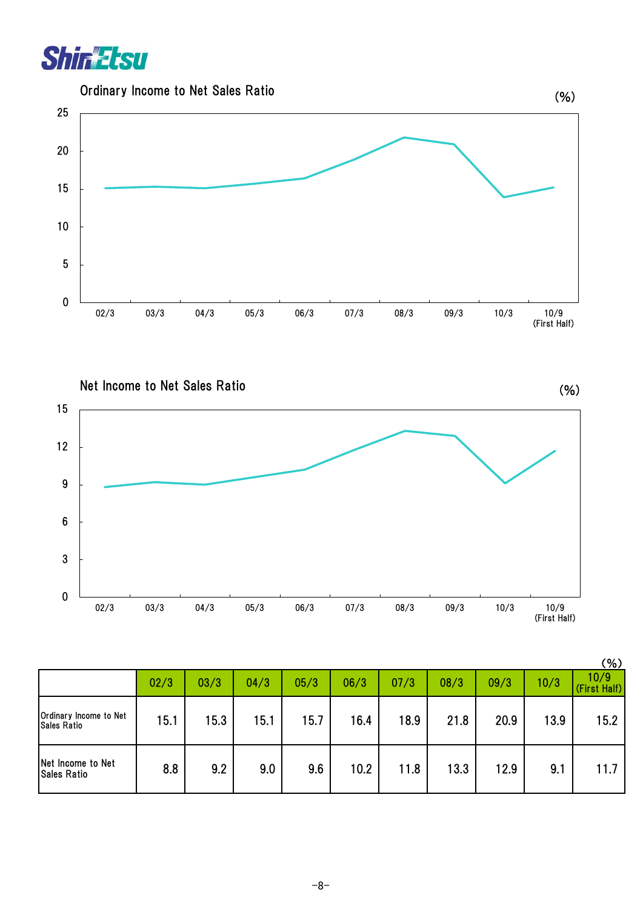

Ordinary Income to Net Sales Ratio



Net Income to Net Sales Ratio

0 3 6 9 12 15 02/3 03/3 04/3 05/3 06/3 07/3 08/3 09/3 10/3 10/9 (First Half)

(%)

|                                              |      |      |      |      |      |      |      |      |      | (%)                  |
|----------------------------------------------|------|------|------|------|------|------|------|------|------|----------------------|
|                                              | 02/3 | 03/3 | 04/3 | 05/3 | 06/3 | 07/3 | 08/3 | 09/3 | 10/3 | 10/9<br>(First Half) |
| Ordinary Income to Net<br><b>Sales Ratio</b> | 15.1 | 15.3 | 15.1 | 15.7 | 16.4 | 18.9 | 21.8 | 20.9 | 13.9 | 15.2                 |
| Net Income to Net<br><b>Sales Ratio</b>      | 8.8  | 9.2  | 9.0  | 9.6  | 10.2 | 11.8 | 13.3 | 12.9 | 9.1  | 11.7                 |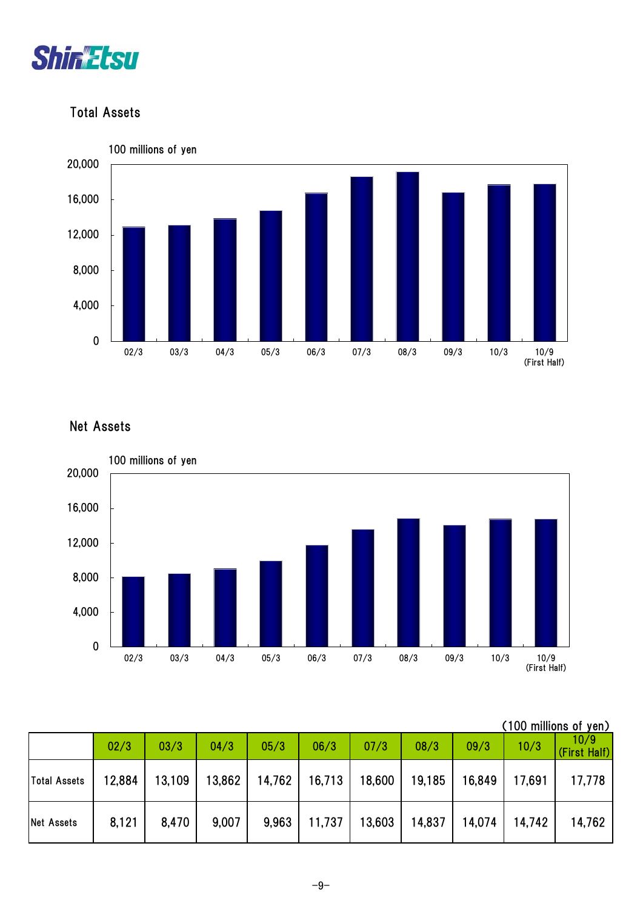

#### Total Assets



#### Net Assets



|       | (100 millions of yen) |      |  |
|-------|-----------------------|------|--|
| ററ ⁄ാ | 1072.                 | 10/9 |  |

|                   | 02/3   | 03/3   | 04/3  | 05/3                                       | 06/3 | 07/3              | 08/3   | 09/3   | 10/3             | 10/9<br>(First Half) |
|-------------------|--------|--------|-------|--------------------------------------------|------|-------------------|--------|--------|------------------|----------------------|
| Total Assets      | 12,884 | 13,109 |       | 13,862   14,762   16,713   18,600   19,185 |      |                   |        | 16,849 | 17,691           | 17,778               |
| <b>Net Assets</b> | 8,121  | 8,470  | 9,007 | 9,963                                      |      | $11,737$   13,603 | 14,837 | 14,074 | $ 14,742\rangle$ | 14,762               |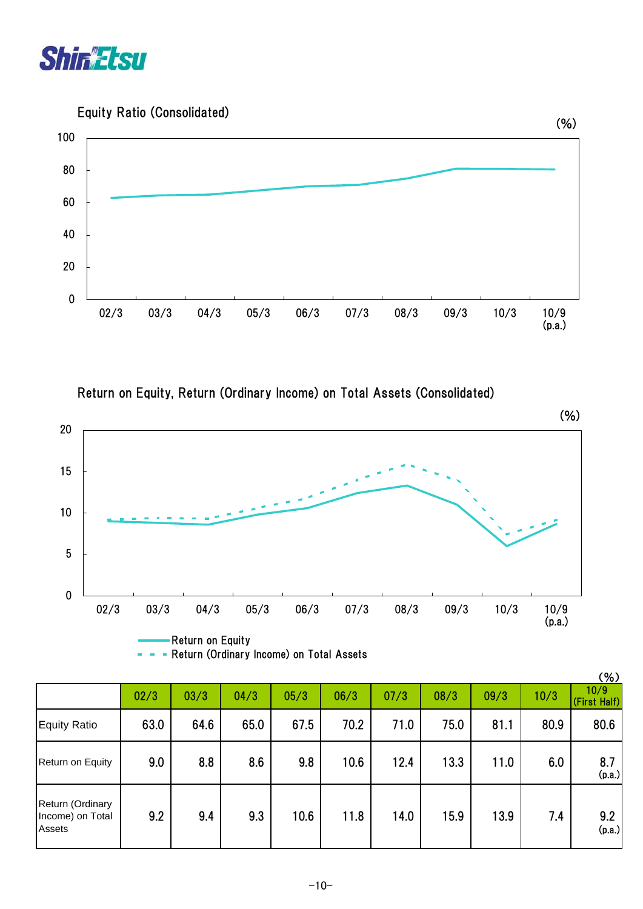

Equity Ratio (Consolidated)



Return on Equity, Return (Ordinary Income) on Total Assets (Consolidated)



| - Return (Ordinary Income) on Total Assets |  |  |
|--------------------------------------------|--|--|
|--------------------------------------------|--|--|

|                                                       |      |      |      |      |      |      |      |      |      | (% )                 |
|-------------------------------------------------------|------|------|------|------|------|------|------|------|------|----------------------|
|                                                       | 02/3 | 03/3 | 04/3 | 05/3 | 06/3 | 07/3 | 08/3 | 09/3 | 10/3 | 10/9<br>(First Half) |
| <b>Equity Ratio</b>                                   | 63.0 | 64.6 | 65.0 | 67.5 | 70.2 | 71.0 | 75.0 | 81.1 | 80.9 | 80.6                 |
| Return on Equity                                      | 9.0  | 8.8  | 8.6  | 9.8  | 10.6 | 12.4 | 13.3 | 11.0 | 6.0  | 8.7<br>(p.a.)        |
| Return (Ordinary<br>Income) on Total<br><b>Assets</b> | 9.2  | 9.4  | 9.3  | 10.6 | 11.8 | 14.0 | 15.9 | 13.9 | 7.4  | 9.2<br>(p.a.)        |